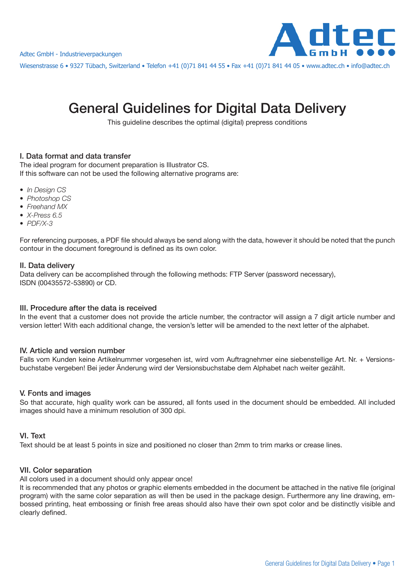

Wiesenstrasse 6 • 9327 Tübach, Switzerland • Telefon +41 (0)71 841 44 55 • Fax +41 (0)71 841 44 05 • www.adtec.ch • info@adtec.ch

# General Guidelines for Digital Data Delivery

This guideline describes the optimal (digital) prepress conditions

## I. Data format and data transfer

The ideal program for document preparation is Illustrator CS. If this software can not be used the following alternative programs are:

- In Design CS
- Photoshop CS
- Freehand MX
- X-Press 6.5
- $\bullet$  PDF/X-3

For referencing purposes, a PDF file should always be send along with the data, however it should be noted that the punch contour in the document foreground is defined as its own color.

## II. Data delivery

Data delivery can be accomplished through the following methods: FTP Server (password necessary), ISDN (00435572-53890) or CD.

#### III. Procedure after the data is received

In the event that a customer does not provide the article number, the contractor will assign a 7 digit article number and version letter! With each additional change, the version's letter will be amended to the next letter of the alphabet.

## IV. Article and version number

Falls vom Kunden keine Artikelnummer vorgesehen ist, wird vom Auftragnehmer eine siebenstellige Art. Nr. + Versionsbuchstabe vergeben! Bei jeder Änderung wird der Versionsbuchstabe dem Alphabet nach weiter gezählt.

## V. Fonts and images

So that accurate, high quality work can be assured, all fonts used in the document should be embedded. All included images should have a minimum resolution of 300 dpi.

#### VI. Text

Text should be at least 5 points in size and positioned no closer than 2mm to trim marks or crease lines.

#### VII. Color separation

All colors used in a document should only appear once!

It is recommended that any photos or graphic elements embedded in the document be attached in the native file (original program) with the same color separation as will then be used in the package design. Furthermore any line drawing, embossed printing, heat embossing or finish free areas should also have their own spot color and be distinctly visible and clearly defined.